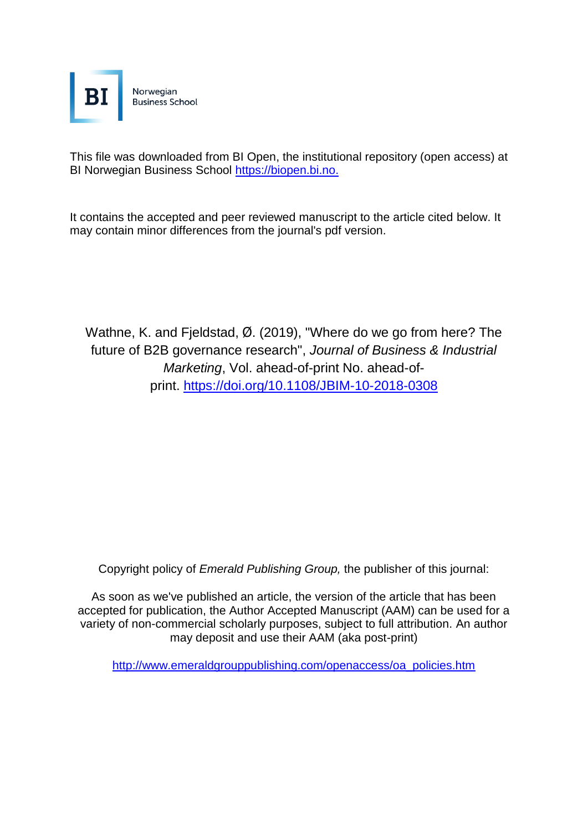

This file was downloaded from BI Open, the institutional repository (open access) at BI Norwegian Business School [https://biopen.bi.no.](https://biopen.bi.no./)

It contains the accepted and peer reviewed manuscript to the article cited below. It may contain minor differences from the journal's pdf version.

[Wathne, K.](https://www.emerald.com/insight/search?q=Kenneth%20Henning%20Wathne) and [Fjeldstad,](https://www.emerald.com/insight/search?q=%C3%98ystein%20D.%20Fjeldstad) Ø. (2019), "Where do we go from here? The future of B2B governance research", *[Journal of Business & Industrial](https://www.emerald.com/insight/publication/issn/0885-8624)  [Marketing](https://www.emerald.com/insight/publication/issn/0885-8624)*, Vol. ahead-of-print No. ahead-ofprint. <https://doi.org/10.1108/JBIM-10-2018-0308>

Copyright policy of *Emerald Publishing Group,* the publisher of this journal:

As soon as we've published an article, the version of the article that has been accepted for publication, the Author Accepted Manuscript (AAM) can be used for a variety of non-commercial scholarly purposes, subject to full attribution. An author may deposit and use their AAM (aka post-print)

[http://www.emeraldgrouppublishing.com/openaccess/oa\\_policies.htm](http://www.emeraldgrouppublishing.com/openaccess/oa_policies.htm)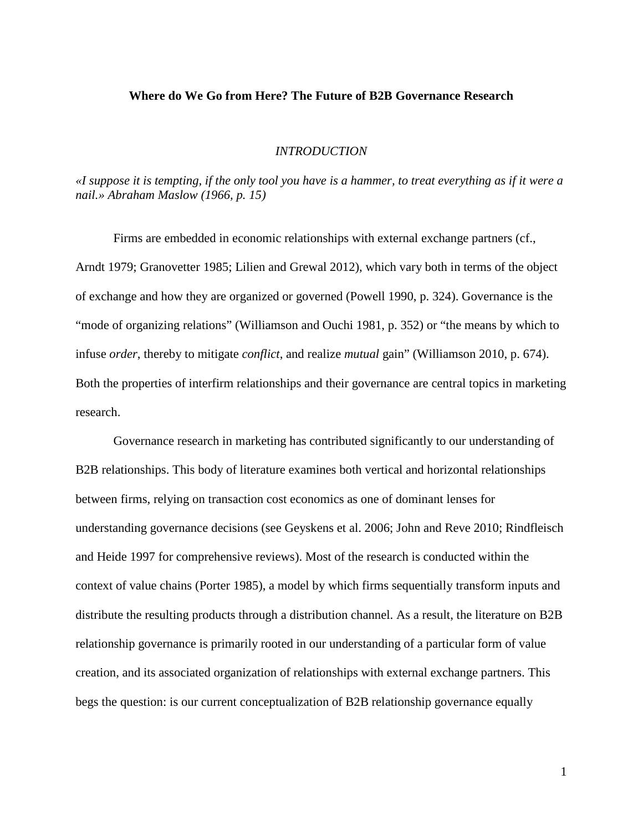# **Where do We Go from Here? The Future of B2B Governance Research**

#### *INTRODUCTION*

«I suppose it is tempting, if the only tool you have is a hammer, to treat everything as if it were a *nail.» Abraham Maslow (1966, p. 15)*

Firms are embedded in economic relationships with external exchange partners (cf., Arndt 1979; Granovetter 1985; Lilien and Grewal 2012), which vary both in terms of the object of exchange and how they are organized or governed (Powell 1990, p. 324). Governance is the "mode of organizing relations" (Williamson and Ouchi 1981, p. 352) or "the means by which to infuse *order*, thereby to mitigate *conflict*, and realize *mutual* gain" (Williamson 2010, p. 674). Both the properties of interfirm relationships and their governance are central topics in marketing research.

Governance research in marketing has contributed significantly to our understanding of B2B relationships. This body of literature examines both vertical and horizontal relationships between firms, relying on transaction cost economics as one of dominant lenses for understanding governance decisions (see Geyskens et al. 2006; John and Reve 2010; Rindfleisch and Heide 1997 for comprehensive reviews). Most of the research is conducted within the context of value chains (Porter 1985), a model by which firms sequentially transform inputs and distribute the resulting products through a distribution channel. As a result, the literature on B2B relationship governance is primarily rooted in our understanding of a particular form of value creation, and its associated organization of relationships with external exchange partners. This begs the question: is our current conceptualization of B2B relationship governance equally

1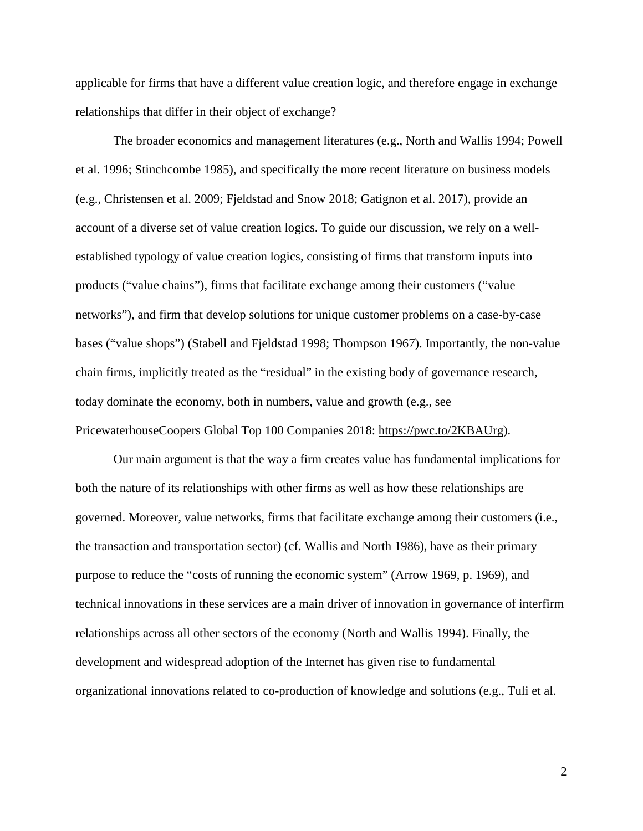applicable for firms that have a different value creation logic, and therefore engage in exchange relationships that differ in their object of exchange?

The broader economics and management literatures (e.g., North and Wallis 1994; Powell et al. 1996; Stinchcombe 1985), and specifically the more recent literature on business models (e.g., Christensen et al. 2009; Fjeldstad and Snow 2018; Gatignon et al. 2017), provide an account of a diverse set of value creation logics. To guide our discussion, we rely on a wellestablished typology of value creation logics, consisting of firms that transform inputs into products ("value chains"), firms that facilitate exchange among their customers ("value networks"), and firm that develop solutions for unique customer problems on a case-by-case bases ("value shops") (Stabell and Fjeldstad 1998; Thompson 1967). Importantly, the non-value chain firms, implicitly treated as the "residual" in the existing body of governance research, today dominate the economy, both in numbers, value and growth (e.g., see PricewaterhouseCoopers Global Top 100 Companies 2018: [https://pwc.to/2KBAUrg\)](https://pwc.to/2KBAUrg).

Our main argument is that the way a firm creates value has fundamental implications for both the nature of its relationships with other firms as well as how these relationships are governed. Moreover, value networks, firms that facilitate exchange among their customers (i.e., the transaction and transportation sector) (cf. Wallis and North 1986), have as their primary purpose to reduce the "costs of running the economic system" (Arrow 1969, p. 1969), and technical innovations in these services are a main driver of innovation in governance of interfirm relationships across all other sectors of the economy (North and Wallis 1994). Finally, the development and widespread adoption of the Internet has given rise to fundamental organizational innovations related to co-production of knowledge and solutions (e.g., Tuli et al.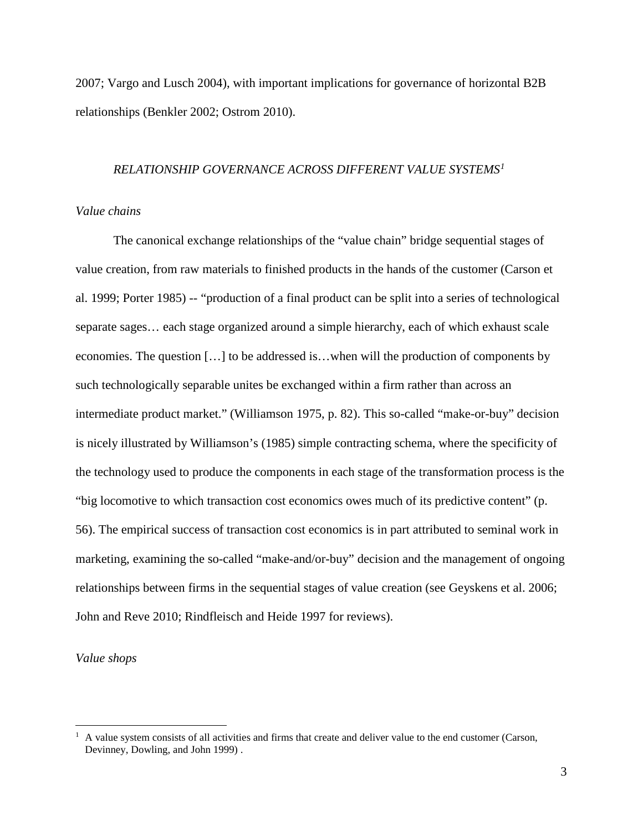2007; Vargo and Lusch 2004), with important implications for governance of horizontal B2B relationships (Benkler 2002; Ostrom 2010).

## *RELATIONSHIP GOVERNANCE ACROSS DIFFERENT VALUE SYSTEMS[1](#page-3-0)*

#### *Value chains*

The canonical exchange relationships of the "value chain" bridge sequential stages of value creation, from raw materials to finished products in the hands of the customer (Carson et al. 1999; Porter 1985) -- "production of a final product can be split into a series of technological separate sages… each stage organized around a simple hierarchy, each of which exhaust scale economies. The question […] to be addressed is…when will the production of components by such technologically separable unites be exchanged within a firm rather than across an intermediate product market." (Williamson 1975, p. 82). This so-called "make-or-buy" decision is nicely illustrated by Williamson's (1985) simple contracting schema, where the specificity of the technology used to produce the components in each stage of the transformation process is the "big locomotive to which transaction cost economics owes much of its predictive content" (p. 56). The empirical success of transaction cost economics is in part attributed to seminal work in marketing, examining the so-called "make-and/or-buy" decision and the management of ongoing relationships between firms in the sequential stages of value creation (see Geyskens et al. 2006; John and Reve 2010; Rindfleisch and Heide 1997 for reviews).

### *Value shops*

<span id="page-3-0"></span> $<sup>1</sup>$  A value system consists of all activities and firms that create and deliver value to the end customer (Carson,</sup> Devinney, Dowling, and John 1999) .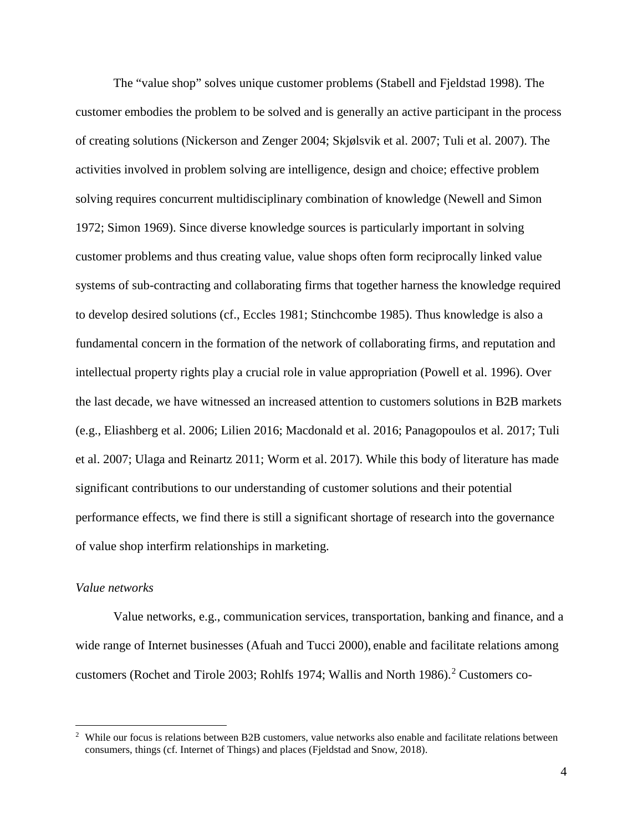The "value shop" solves unique customer problems (Stabell and Fjeldstad 1998). The customer embodies the problem to be solved and is generally an active participant in the process of creating solutions (Nickerson and Zenger 2004; Skjølsvik et al. 2007; Tuli et al. 2007). The activities involved in problem solving are intelligence, design and choice; effective problem solving requires concurrent multidisciplinary combination of knowledge (Newell and Simon 1972; Simon 1969). Since diverse knowledge sources is particularly important in solving customer problems and thus creating value, value shops often form reciprocally linked value systems of sub-contracting and collaborating firms that together harness the knowledge required to develop desired solutions (cf., Eccles 1981; Stinchcombe 1985). Thus knowledge is also a fundamental concern in the formation of the network of collaborating firms, and reputation and intellectual property rights play a crucial role in value appropriation (Powell et al. 1996). Over the last decade, we have witnessed an increased attention to customers solutions in B2B markets (e.g., Eliashberg et al. 2006; Lilien 2016; Macdonald et al. 2016; Panagopoulos et al. 2017; Tuli et al. 2007; Ulaga and Reinartz 2011; Worm et al. 2017). While this body of literature has made significant contributions to our understanding of customer solutions and their potential performance effects, we find there is still a significant shortage of research into the governance of value shop interfirm relationships in marketing.

## *Value networks*

Value networks, e.g., communication services, transportation, banking and finance, and a wide range of Internet businesses (Afuah and Tucci 2000), enable and facilitate relations among customers (Rochet and Tirole 2003; Rohlfs 1974; Wallis and North 1986). [2](#page-4-0) Customers co-

<span id="page-4-0"></span><sup>&</sup>lt;sup>2</sup> While our focus is relations between B2B customers, value networks also enable and facilitate relations between consumers, things (cf. Internet of Things) and places (Fjeldstad and Snow, 2018).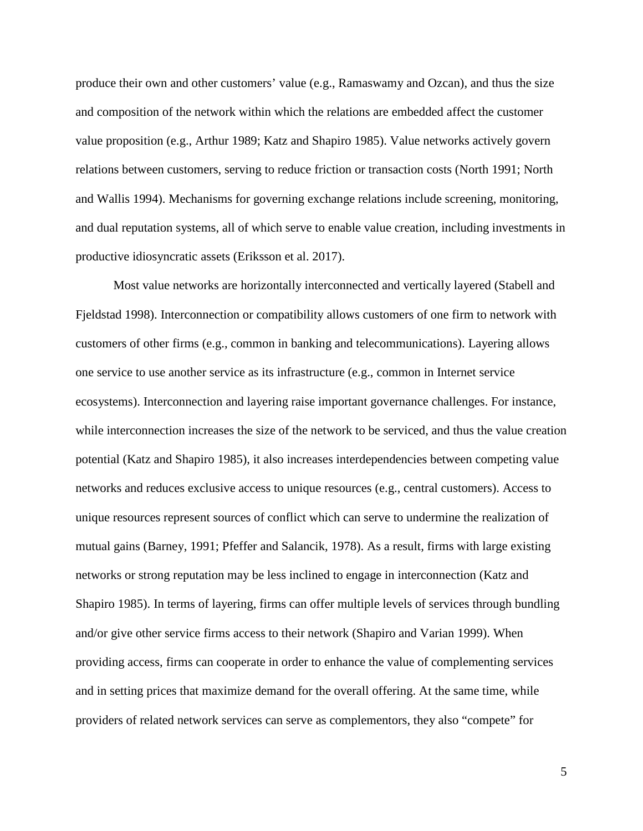produce their own and other customers' value (e.g., Ramaswamy and Ozcan), and thus the size and composition of the network within which the relations are embedded affect the customer value proposition (e.g., Arthur 1989; Katz and Shapiro 1985). Value networks actively govern relations between customers, serving to reduce friction or transaction costs (North 1991; North and Wallis 1994). Mechanisms for governing exchange relations include screening, monitoring, and dual reputation systems, all of which serve to enable value creation, including investments in productive idiosyncratic assets (Eriksson et al. 2017).

Most value networks are horizontally interconnected and vertically layered (Stabell and Fjeldstad 1998). Interconnection or compatibility allows customers of one firm to network with customers of other firms (e.g., common in banking and telecommunications). Layering allows one service to use another service as its infrastructure (e.g., common in Internet service ecosystems). Interconnection and layering raise important governance challenges. For instance, while interconnection increases the size of the network to be serviced, and thus the value creation potential (Katz and Shapiro 1985), it also increases interdependencies between competing value networks and reduces exclusive access to unique resources (e.g., central customers). Access to unique resources represent sources of conflict which can serve to undermine the realization of mutual gains (Barney, 1991; Pfeffer and Salancik, 1978). As a result, firms with large existing networks or strong reputation may be less inclined to engage in interconnection (Katz and Shapiro 1985). In terms of layering, firms can offer multiple levels of services through bundling and/or give other service firms access to their network (Shapiro and Varian 1999). When providing access, firms can cooperate in order to enhance the value of complementing services and in setting prices that maximize demand for the overall offering. At the same time, while providers of related network services can serve as complementors, they also "compete" for

5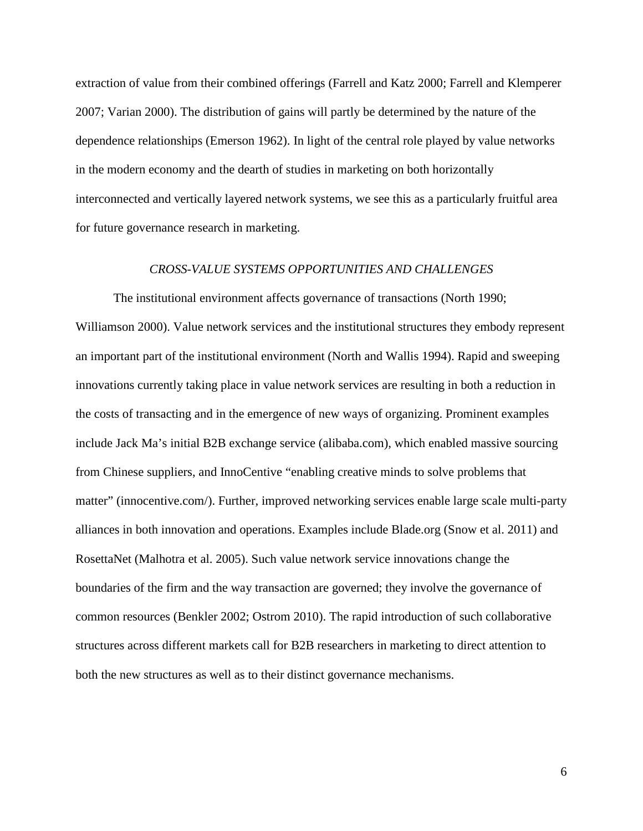extraction of value from their combined offerings (Farrell and Katz 2000; Farrell and Klemperer 2007; Varian 2000). The distribution of gains will partly be determined by the nature of the dependence relationships (Emerson 1962). In light of the central role played by value networks in the modern economy and the dearth of studies in marketing on both horizontally interconnected and vertically layered network systems, we see this as a particularly fruitful area for future governance research in marketing.

#### *CROSS-VALUE SYSTEMS OPPORTUNITIES AND CHALLENGES*

The institutional environment affects governance of transactions (North 1990; Williamson 2000). Value network services and the institutional structures they embody represent an important part of the institutional environment (North and Wallis 1994). Rapid and sweeping innovations currently taking place in value network services are resulting in both a reduction in the costs of transacting and in the emergence of new ways of organizing. Prominent examples include Jack Ma's initial B2B exchange service (alibaba.com), which enabled massive sourcing from Chinese suppliers, and InnoCentive "enabling creative minds to solve problems that matter" (innocentive.com/). Further, improved networking services enable large scale multi-party alliances in both innovation and operations. Examples include Blade.org (Snow et al. 2011) and RosettaNet (Malhotra et al. 2005). Such value network service innovations change the boundaries of the firm and the way transaction are governed; they involve the governance of common resources (Benkler 2002; Ostrom 2010). The rapid introduction of such collaborative structures across different markets call for B2B researchers in marketing to direct attention to both the new structures as well as to their distinct governance mechanisms.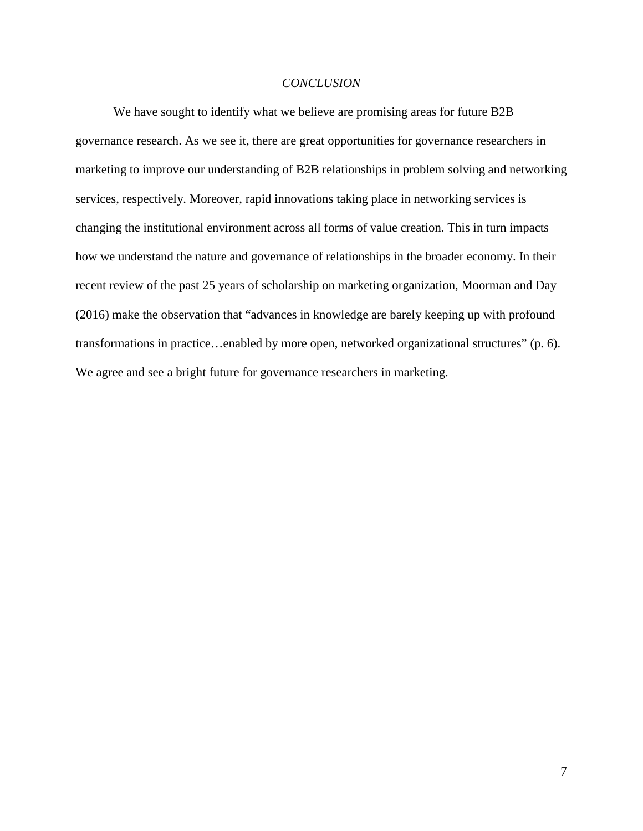### *CONCLUSION*

We have sought to identify what we believe are promising areas for future B2B governance research. As we see it, there are great opportunities for governance researchers in marketing to improve our understanding of B2B relationships in problem solving and networking services, respectively. Moreover, rapid innovations taking place in networking services is changing the institutional environment across all forms of value creation. This in turn impacts how we understand the nature and governance of relationships in the broader economy. In their recent review of the past 25 years of scholarship on marketing organization, Moorman and Day (2016) make the observation that "advances in knowledge are barely keeping up with profound transformations in practice…enabled by more open, networked organizational structures" (p. 6). We agree and see a bright future for governance researchers in marketing.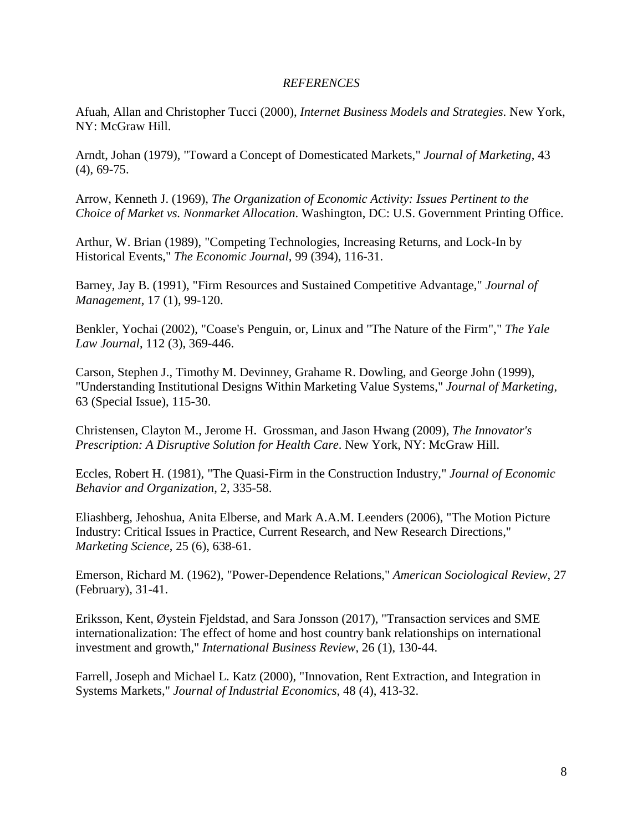# *REFERENCES*

Afuah, Allan and Christopher Tucci (2000), *Internet Business Models and Strategies*. New York, NY: McGraw Hill.

Arndt, Johan (1979), "Toward a Concept of Domesticated Markets," *Journal of Marketing*, 43 (4), 69-75.

Arrow, Kenneth J. (1969), *The Organization of Economic Activity: Issues Pertinent to the Choice of Market vs. Nonmarket Allocation*. Washington, DC: U.S. Government Printing Office.

Arthur, W. Brian (1989), "Competing Technologies, Increasing Returns, and Lock-In by Historical Events," *The Economic Journal*, 99 (394), 116-31.

Barney, Jay B. (1991), "Firm Resources and Sustained Competitive Advantage," *Journal of Management*, 17 (1), 99-120.

Benkler, Yochai (2002), "Coase's Penguin, or, Linux and "The Nature of the Firm"," *The Yale Law Journal*, 112 (3), 369-446.

Carson, Stephen J., Timothy M. Devinney, Grahame R. Dowling, and George John (1999), "Understanding Institutional Designs Within Marketing Value Systems," *Journal of Marketing*, 63 (Special Issue), 115-30.

Christensen, Clayton M., Jerome H. Grossman, and Jason Hwang (2009), *The Innovator's Prescription: A Disruptive Solution for Health Care*. New York, NY: McGraw Hill.

Eccles, Robert H. (1981), "The Quasi-Firm in the Construction Industry," *Journal of Economic Behavior and Organization*, 2, 335-58.

Eliashberg, Jehoshua, Anita Elberse, and Mark A.A.M. Leenders (2006), "The Motion Picture Industry: Critical Issues in Practice, Current Research, and New Research Directions," *Marketing Science*, 25 (6), 638-61.

Emerson, Richard M. (1962), "Power-Dependence Relations," *American Sociological Review*, 27 (February), 31-41.

Eriksson, Kent, Øystein Fjeldstad, and Sara Jonsson (2017), "Transaction services and SME internationalization: The effect of home and host country bank relationships on international investment and growth," *International Business Review*, 26 (1), 130-44.

Farrell, Joseph and Michael L. Katz (2000), "Innovation, Rent Extraction, and Integration in Systems Markets," *Journal of Industrial Economics*, 48 (4), 413-32.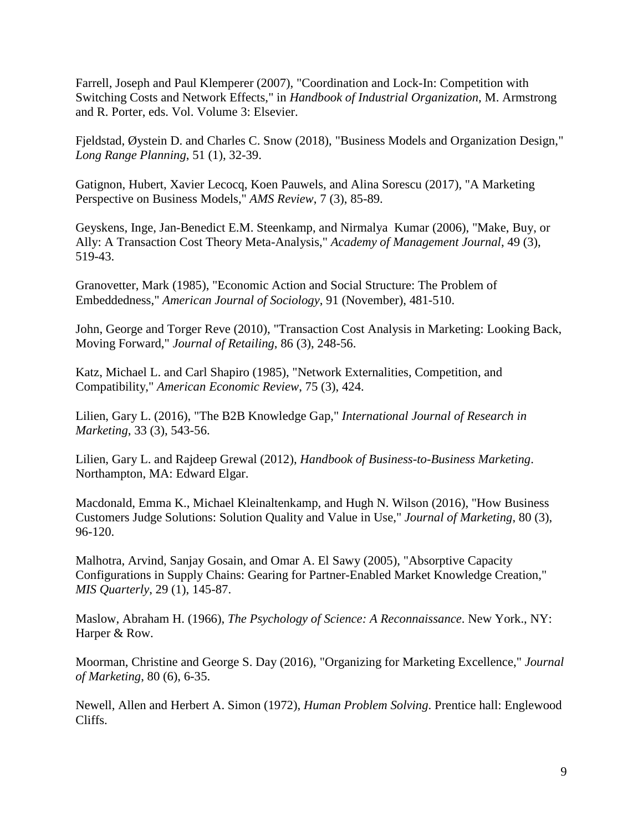Farrell, Joseph and Paul Klemperer (2007), "Coordination and Lock-In: Competition with Switching Costs and Network Effects," in *Handbook of Industrial Organization*, M. Armstrong and R. Porter, eds. Vol. Volume 3: Elsevier.

Fjeldstad, Øystein D. and Charles C. Snow (2018), "Business Models and Organization Design," *Long Range Planning*, 51 (1), 32-39.

Gatignon, Hubert, Xavier Lecocq, Koen Pauwels, and Alina Sorescu (2017), "A Marketing Perspective on Business Models," *AMS Review*, 7 (3), 85-89.

Geyskens, Inge, Jan-Benedict E.M. Steenkamp, and Nirmalya Kumar (2006), "Make, Buy, or Ally: A Transaction Cost Theory Meta-Analysis," *Academy of Management Journal*, 49 (3), 519-43.

Granovetter, Mark (1985), "Economic Action and Social Structure: The Problem of Embeddedness," *American Journal of Sociology*, 91 (November), 481-510.

John, George and Torger Reve (2010), "Transaction Cost Analysis in Marketing: Looking Back, Moving Forward," *Journal of Retailing*, 86 (3), 248-56.

Katz, Michael L. and Carl Shapiro (1985), "Network Externalities, Competition, and Compatibility," *American Economic Review*, 75 (3), 424.

Lilien, Gary L. (2016), "The B2B Knowledge Gap," *International Journal of Research in Marketing*, 33 (3), 543-56.

Lilien, Gary L. and Rajdeep Grewal (2012), *Handbook of Business-to-Business Marketing*. Northampton, MA: Edward Elgar.

Macdonald, Emma K., Michael Kleinaltenkamp, and Hugh N. Wilson (2016), "How Business Customers Judge Solutions: Solution Quality and Value in Use," *Journal of Marketing*, 80 (3), 96-120.

Malhotra, Arvind, Sanjay Gosain, and Omar A. El Sawy (2005), "Absorptive Capacity Configurations in Supply Chains: Gearing for Partner-Enabled Market Knowledge Creation," *MIS Quarterly*, 29 (1), 145-87.

Maslow, Abraham H. (1966), *The Psychology of Science: A Reconnaissance*. New York., NY: Harper & Row.

Moorman, Christine and George S. Day (2016), "Organizing for Marketing Excellence," *Journal of Marketing*, 80 (6), 6-35.

Newell, Allen and Herbert A. Simon (1972), *Human Problem Solving*. Prentice hall: Englewood Cliffs.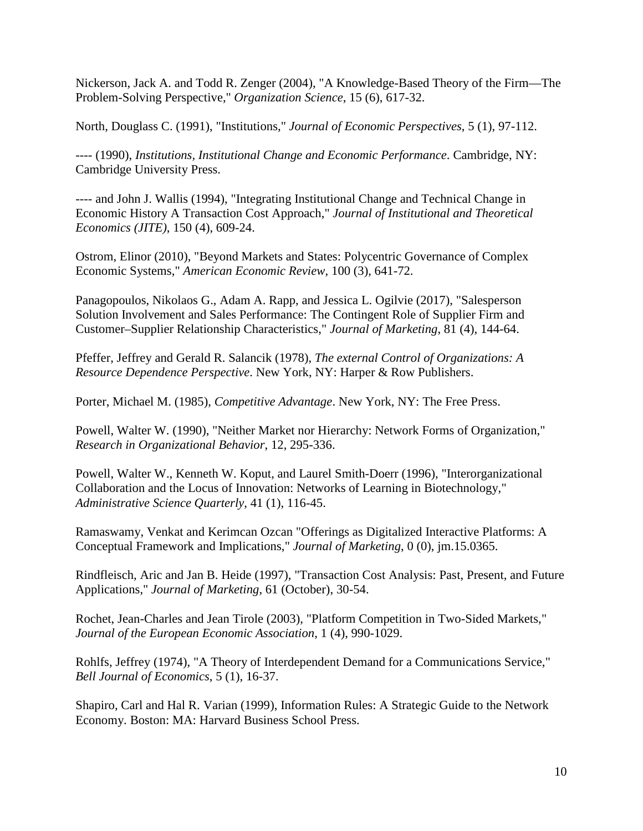Nickerson, Jack A. and Todd R. Zenger (2004), "A Knowledge-Based Theory of the Firm—The Problem-Solving Perspective," *Organization Science*, 15 (6), 617-32.

North, Douglass C. (1991), "Institutions," *Journal of Economic Perspectives*, 5 (1), 97-112.

---- (1990), *Institutions, Institutional Change and Economic Performance*. Cambridge, NY: Cambridge University Press.

---- and John J. Wallis (1994), "Integrating Institutional Change and Technical Change in Economic History A Transaction Cost Approach," *Journal of Institutional and Theoretical Economics (JITE)*, 150 (4), 609-24.

Ostrom, Elinor (2010), "Beyond Markets and States: Polycentric Governance of Complex Economic Systems," *American Economic Review*, 100 (3), 641-72.

Panagopoulos, Nikolaos G., Adam A. Rapp, and Jessica L. Ogilvie (2017), "Salesperson Solution Involvement and Sales Performance: The Contingent Role of Supplier Firm and Customer–Supplier Relationship Characteristics," *Journal of Marketing*, 81 (4), 144-64.

Pfeffer, Jeffrey and Gerald R. Salancik (1978), *The external Control of Organizations: A Resource Dependence Perspective*. New York, NY: Harper & Row Publishers.

Porter, Michael M. (1985), *Competitive Advantage*. New York, NY: The Free Press.

Powell, Walter W. (1990), "Neither Market nor Hierarchy: Network Forms of Organization," *Research in Organizational Behavior*, 12, 295-336.

Powell, Walter W., Kenneth W. Koput, and Laurel Smith-Doerr (1996), "Interorganizational Collaboration and the Locus of Innovation: Networks of Learning in Biotechnology," *Administrative Science Quarterly*, 41 (1), 116-45.

Ramaswamy, Venkat and Kerimcan Ozcan "Offerings as Digitalized Interactive Platforms: A Conceptual Framework and Implications," *Journal of Marketing*, 0 (0), jm.15.0365.

Rindfleisch, Aric and Jan B. Heide (1997), "Transaction Cost Analysis: Past, Present, and Future Applications," *Journal of Marketing*, 61 (October), 30-54.

Rochet, Jean-Charles and Jean Tirole (2003), "Platform Competition in Two-Sided Markets," *Journal of the European Economic Association*, 1 (4), 990-1029.

Rohlfs, Jeffrey (1974), "A Theory of Interdependent Demand for a Communications Service," *Bell Journal of Economics*, 5 (1), 16-37.

Shapiro, Carl and Hal R. Varian (1999), Information Rules: A Strategic Guide to the Network Economy. Boston: MA: Harvard Business School Press.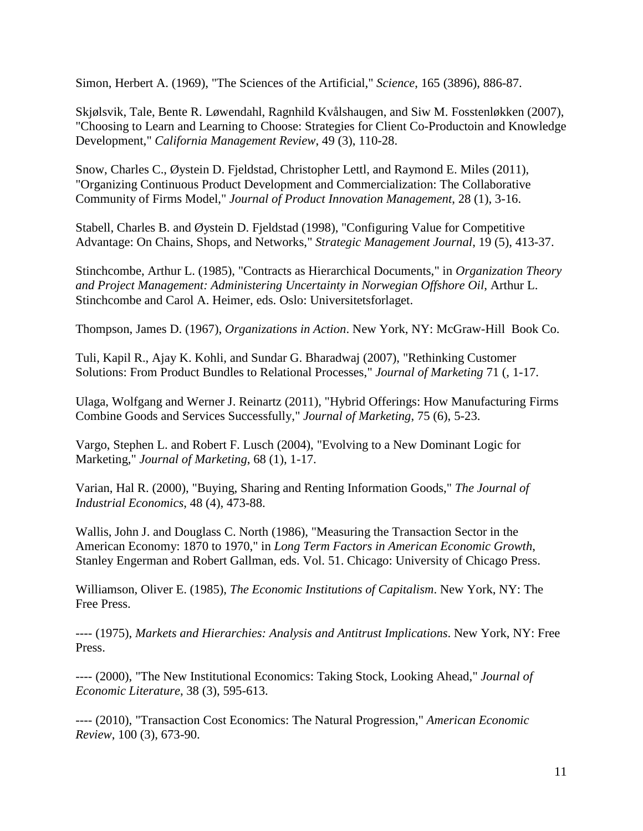Simon, Herbert A. (1969), "The Sciences of the Artificial," *Science*, 165 (3896), 886-87.

Skjølsvik, Tale, Bente R. Løwendahl, Ragnhild Kvålshaugen, and Siw M. Fosstenløkken (2007), "Choosing to Learn and Learning to Choose: Strategies for Client Co-Productoin and Knowledge Development," *California Management Review*, 49 (3), 110-28.

Snow, Charles C., Øystein D. Fjeldstad, Christopher Lettl, and Raymond E. Miles (2011), "Organizing Continuous Product Development and Commercialization: The Collaborative Community of Firms Model," *Journal of Product Innovation Management*, 28 (1), 3-16.

Stabell, Charles B. and Øystein D. Fjeldstad (1998), "Configuring Value for Competitive Advantage: On Chains, Shops, and Networks," *Strategic Management Journal*, 19 (5), 413-37.

Stinchcombe, Arthur L. (1985), "Contracts as Hierarchical Documents," in *Organization Theory and Project Management: Administering Uncertainty in Norwegian Offshore Oil*, Arthur L. Stinchcombe and Carol A. Heimer, eds. Oslo: Universitetsforlaget.

Thompson, James D. (1967), *Organizations in Action*. New York, NY: McGraw-Hill Book Co.

Tuli, Kapil R., Ajay K. Kohli, and Sundar G. Bharadwaj (2007), "Rethinking Customer Solutions: From Product Bundles to Relational Processes," *Journal of Marketing* 71 (, 1-17.

Ulaga, Wolfgang and Werner J. Reinartz (2011), "Hybrid Offerings: How Manufacturing Firms Combine Goods and Services Successfully," *Journal of Marketing*, 75 (6), 5-23.

Vargo, Stephen L. and Robert F. Lusch (2004), "Evolving to a New Dominant Logic for Marketing," *Journal of Marketing*, 68 (1), 1-17.

Varian, Hal R. (2000), "Buying, Sharing and Renting Information Goods," *The Journal of Industrial Economics*, 48 (4), 473-88.

Wallis, John J. and Douglass C. North (1986), "Measuring the Transaction Sector in the American Economy: 1870 to 1970," in *Long Term Factors in American Economic Growth*, Stanley Engerman and Robert Gallman, eds. Vol. 51. Chicago: University of Chicago Press.

Williamson, Oliver E. (1985), *The Economic Institutions of Capitalism*. New York, NY: The Free Press.

---- (1975), *Markets and Hierarchies: Analysis and Antitrust Implications*. New York, NY: Free Press.

---- (2000), "The New Institutional Economics: Taking Stock, Looking Ahead," *Journal of Economic Literature*, 38 (3), 595-613.

---- (2010), "Transaction Cost Economics: The Natural Progression," *American Economic Review*, 100 (3), 673-90.